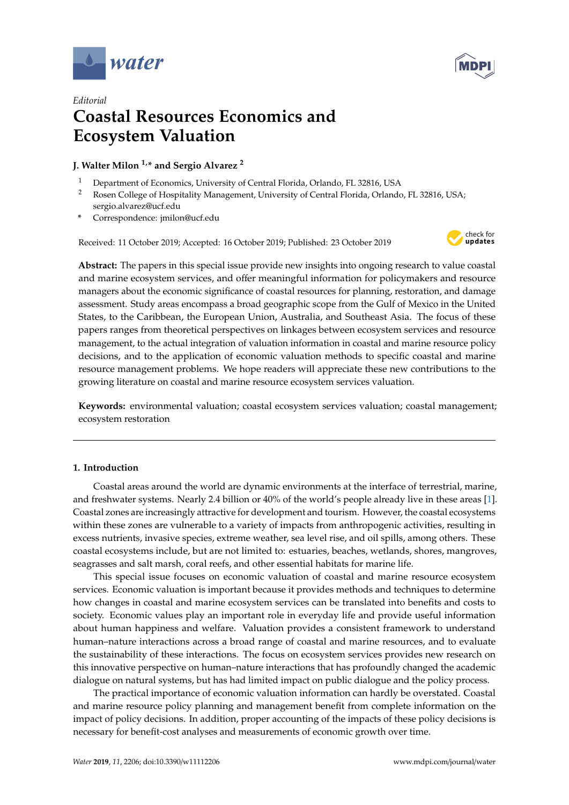



# *Editorial* **Coastal Resources Economics and Ecosystem Valuation**

## **J. Walter Milon 1,\* and Sergio Alvarez <sup>2</sup>**

- <sup>1</sup> Department of Economics, University of Central Florida, Orlando, FL 32816, USA
- <sup>2</sup> Rosen College of Hospitality Management, University of Central Florida, Orlando, FL 32816, USA; sergio.alvarez@ucf.edu
- **\*** Correspondence: jmilon@ucf.edu

Received: 11 October 2019; Accepted: 16 October 2019; Published: 23 October 2019



**Abstract:** The papers in this special issue provide new insights into ongoing research to value coastal and marine ecosystem services, and offer meaningful information for policymakers and resource managers about the economic significance of coastal resources for planning, restoration, and damage assessment. Study areas encompass a broad geographic scope from the Gulf of Mexico in the United States, to the Caribbean, the European Union, Australia, and Southeast Asia. The focus of these papers ranges from theoretical perspectives on linkages between ecosystem services and resource management, to the actual integration of valuation information in coastal and marine resource policy decisions, and to the application of economic valuation methods to specific coastal and marine resource management problems. We hope readers will appreciate these new contributions to the growing literature on coastal and marine resource ecosystem services valuation.

**Keywords:** environmental valuation; coastal ecosystem services valuation; coastal management; ecosystem restoration

### **1. Introduction**

Coastal areas around the world are dynamic environments at the interface of terrestrial, marine, and freshwater systems. Nearly 2.4 billion or 40% of the world's people already live in these areas [\[1\]](#page-2-0). Coastal zones are increasingly attractive for development and tourism. However, the coastal ecosystems within these zones are vulnerable to a variety of impacts from anthropogenic activities, resulting in excess nutrients, invasive species, extreme weather, sea level rise, and oil spills, among others. These coastal ecosystems include, but are not limited to: estuaries, beaches, wetlands, shores, mangroves, seagrasses and salt marsh, coral reefs, and other essential habitats for marine life.

This special issue focuses on economic valuation of coastal and marine resource ecosystem services. Economic valuation is important because it provides methods and techniques to determine how changes in coastal and marine ecosystem services can be translated into benefits and costs to society. Economic values play an important role in everyday life and provide useful information about human happiness and welfare. Valuation provides a consistent framework to understand human–nature interactions across a broad range of coastal and marine resources, and to evaluate the sustainability of these interactions. The focus on ecosystem services provides new research on this innovative perspective on human–nature interactions that has profoundly changed the academic dialogue on natural systems, but has had limited impact on public dialogue and the policy process.

The practical importance of economic valuation information can hardly be overstated. Coastal and marine resource policy planning and management benefit from complete information on the impact of policy decisions. In addition, proper accounting of the impacts of these policy decisions is necessary for benefit-cost analyses and measurements of economic growth over time.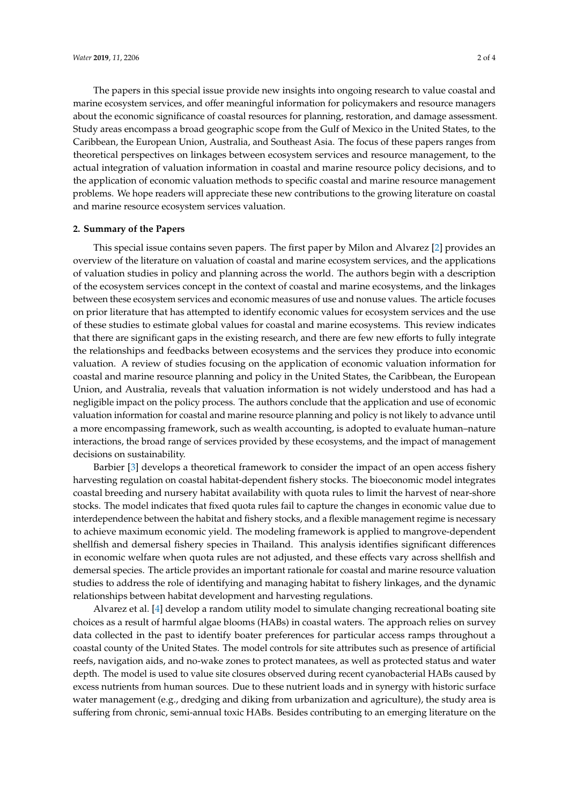The papers in this special issue provide new insights into ongoing research to value coastal and marine ecosystem services, and offer meaningful information for policymakers and resource managers about the economic significance of coastal resources for planning, restoration, and damage assessment. Study areas encompass a broad geographic scope from the Gulf of Mexico in the United States, to the Caribbean, the European Union, Australia, and Southeast Asia. The focus of these papers ranges from theoretical perspectives on linkages between ecosystem services and resource management, to the actual integration of valuation information in coastal and marine resource policy decisions, and to the application of economic valuation methods to specific coastal and marine resource management problems. We hope readers will appreciate these new contributions to the growing literature on coastal and marine resource ecosystem services valuation.

#### **2. Summary of the Papers**

This special issue contains seven papers. The first paper by Milon and Alvarez [\[2\]](#page-2-1) provides an overview of the literature on valuation of coastal and marine ecosystem services, and the applications of valuation studies in policy and planning across the world. The authors begin with a description of the ecosystem services concept in the context of coastal and marine ecosystems, and the linkages between these ecosystem services and economic measures of use and nonuse values. The article focuses on prior literature that has attempted to identify economic values for ecosystem services and the use of these studies to estimate global values for coastal and marine ecosystems. This review indicates that there are significant gaps in the existing research, and there are few new efforts to fully integrate the relationships and feedbacks between ecosystems and the services they produce into economic valuation. A review of studies focusing on the application of economic valuation information for coastal and marine resource planning and policy in the United States, the Caribbean, the European Union, and Australia, reveals that valuation information is not widely understood and has had a negligible impact on the policy process. The authors conclude that the application and use of economic valuation information for coastal and marine resource planning and policy is not likely to advance until a more encompassing framework, such as wealth accounting, is adopted to evaluate human–nature interactions, the broad range of services provided by these ecosystems, and the impact of management decisions on sustainability.

Barbier [\[3\]](#page-2-2) develops a theoretical framework to consider the impact of an open access fishery harvesting regulation on coastal habitat-dependent fishery stocks. The bioeconomic model integrates coastal breeding and nursery habitat availability with quota rules to limit the harvest of near-shore stocks. The model indicates that fixed quota rules fail to capture the changes in economic value due to interdependence between the habitat and fishery stocks, and a flexible management regime is necessary to achieve maximum economic yield. The modeling framework is applied to mangrove-dependent shellfish and demersal fishery species in Thailand. This analysis identifies significant differences in economic welfare when quota rules are not adjusted, and these effects vary across shellfish and demersal species. The article provides an important rationale for coastal and marine resource valuation studies to address the role of identifying and managing habitat to fishery linkages, and the dynamic relationships between habitat development and harvesting regulations.

Alvarez et al. [\[4\]](#page-2-3) develop a random utility model to simulate changing recreational boating site choices as a result of harmful algae blooms (HABs) in coastal waters. The approach relies on survey data collected in the past to identify boater preferences for particular access ramps throughout a coastal county of the United States. The model controls for site attributes such as presence of artificial reefs, navigation aids, and no-wake zones to protect manatees, as well as protected status and water depth. The model is used to value site closures observed during recent cyanobacterial HABs caused by excess nutrients from human sources. Due to these nutrient loads and in synergy with historic surface water management (e.g., dredging and diking from urbanization and agriculture), the study area is suffering from chronic, semi-annual toxic HABs. Besides contributing to an emerging literature on the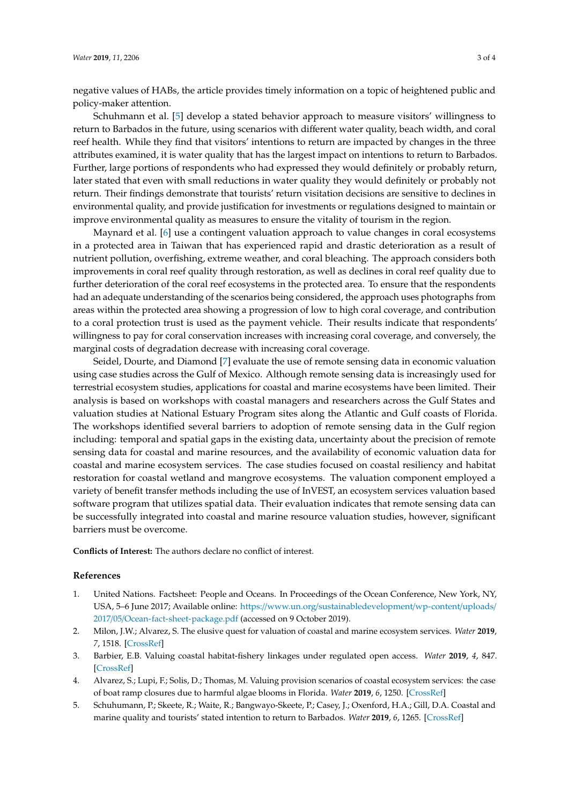negative values of HABs, the article provides timely information on a topic of heightened public and policy-maker attention.

Schuhmann et al. [\[5\]](#page-2-4) develop a stated behavior approach to measure visitors' willingness to return to Barbados in the future, using scenarios with different water quality, beach width, and coral reef health. While they find that visitors' intentions to return are impacted by changes in the three attributes examined, it is water quality that has the largest impact on intentions to return to Barbados. Further, large portions of respondents who had expressed they would definitely or probably return, later stated that even with small reductions in water quality they would definitely or probably not return. Their findings demonstrate that tourists' return visitation decisions are sensitive to declines in environmental quality, and provide justification for investments or regulations designed to maintain or improve environmental quality as measures to ensure the vitality of tourism in the region.

Maynard et al. [\[6\]](#page-3-0) use a contingent valuation approach to value changes in coral ecosystems in a protected area in Taiwan that has experienced rapid and drastic deterioration as a result of nutrient pollution, overfishing, extreme weather, and coral bleaching. The approach considers both improvements in coral reef quality through restoration, as well as declines in coral reef quality due to further deterioration of the coral reef ecosystems in the protected area. To ensure that the respondents had an adequate understanding of the scenarios being considered, the approach uses photographs from areas within the protected area showing a progression of low to high coral coverage, and contribution to a coral protection trust is used as the payment vehicle. Their results indicate that respondents' willingness to pay for coral conservation increases with increasing coral coverage, and conversely, the marginal costs of degradation decrease with increasing coral coverage.

Seidel, Dourte, and Diamond [\[7\]](#page-3-1) evaluate the use of remote sensing data in economic valuation using case studies across the Gulf of Mexico. Although remote sensing data is increasingly used for terrestrial ecosystem studies, applications for coastal and marine ecosystems have been limited. Their analysis is based on workshops with coastal managers and researchers across the Gulf States and valuation studies at National Estuary Program sites along the Atlantic and Gulf coasts of Florida. The workshops identified several barriers to adoption of remote sensing data in the Gulf region including: temporal and spatial gaps in the existing data, uncertainty about the precision of remote sensing data for coastal and marine resources, and the availability of economic valuation data for coastal and marine ecosystem services. The case studies focused on coastal resiliency and habitat restoration for coastal wetland and mangrove ecosystems. The valuation component employed a variety of benefit transfer methods including the use of InVEST, an ecosystem services valuation based software program that utilizes spatial data. Their evaluation indicates that remote sensing data can be successfully integrated into coastal and marine resource valuation studies, however, significant barriers must be overcome.

**Conflicts of Interest:** The authors declare no conflict of interest.

#### **References**

- <span id="page-2-0"></span>1. United Nations. Factsheet: People and Oceans. In Proceedings of the Ocean Conference, New York, NY, USA, 5–6 June 2017; Available online: https://www.un.org/[sustainabledevelopment](https://www.un.org/sustainabledevelopment/wp-content/uploads/2017/05/Ocean-fact-sheet-package.pdf)/wp-content/uploads/ 2017/05/[Ocean-fact-sheet-package.pdf](https://www.un.org/sustainabledevelopment/wp-content/uploads/2017/05/Ocean-fact-sheet-package.pdf) (accessed on 9 October 2019).
- <span id="page-2-1"></span>2. Milon, J.W.; Alvarez, S. The elusive quest for valuation of coastal and marine ecosystem services. *Water* **2019**, *7*, 1518. [\[CrossRef\]](http://dx.doi.org/10.3390/w11071518)
- <span id="page-2-2"></span>3. Barbier, E.B. Valuing coastal habitat-fishery linkages under regulated open access. *Water* **2019**, *4*, 847. [\[CrossRef\]](http://dx.doi.org/10.3390/w11040847)
- <span id="page-2-3"></span>4. Alvarez, S.; Lupi, F.; Solis, D.; Thomas, M. Valuing provision scenarios of coastal ecosystem services: the case of boat ramp closures due to harmful algae blooms in Florida. *Water* **2019**, *6*, 1250. [\[CrossRef\]](http://dx.doi.org/10.3390/w11061250)
- <span id="page-2-4"></span>5. Schuhumann, P.; Skeete, R.; Waite, R.; Bangwayo-Skeete, P.; Casey, J.; Oxenford, H.A.; Gill, D.A. Coastal and marine quality and tourists' stated intention to return to Barbados. *Water* **2019**, *6*, 1265. [\[CrossRef\]](http://dx.doi.org/10.3390/w11061265)